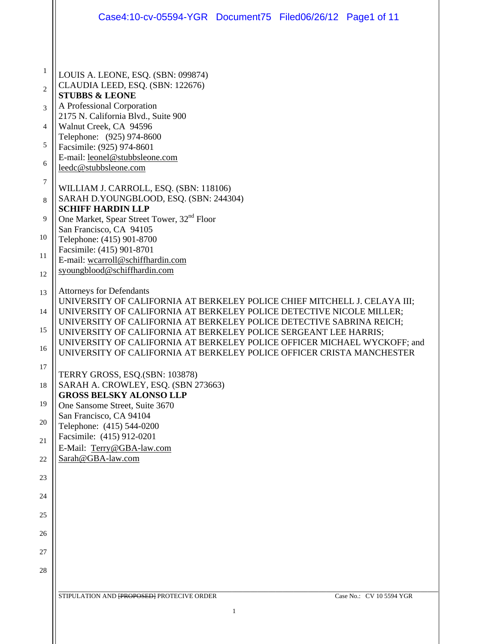|                | Case4:10-cv-05594-YGR Document75 Filed06/26/12 Page1 of 11                                                                                        |
|----------------|---------------------------------------------------------------------------------------------------------------------------------------------------|
|                |                                                                                                                                                   |
| $\mathbf{1}$   | LOUIS A. LEONE, ESQ. (SBN: 099874)                                                                                                                |
| $\overline{2}$ | CLAUDIA LEED, ESQ. (SBN: 122676)<br><b>STUBBS &amp; LEONE</b>                                                                                     |
| 3              | A Professional Corporation                                                                                                                        |
| 4              | 2175 N. California Blvd., Suite 900<br>Walnut Creek, CA 94596                                                                                     |
| 5              | Telephone: (925) 974-8600<br>Facsimile: (925) 974-8601                                                                                            |
| 6              | E-mail: leonel@stubbsleone.com<br>leedc@stubbsleone.com                                                                                           |
| $\tau$         | WILLIAM J. CARROLL, ESQ. (SBN: 118106)                                                                                                            |
| 8              | SARAH D.YOUNGBLOOD, ESQ. (SBN: 244304)<br><b>SCHIFF HARDIN LLP</b>                                                                                |
| 9              | One Market, Spear Street Tower, 32 <sup>nd</sup> Floor                                                                                            |
| 10             | San Francisco, CA 94105<br>Telephone: (415) 901-8700                                                                                              |
| 11             | Facsimile: (415) 901-8701<br>E-mail: wcarroll@schiffhardin.com                                                                                    |
| 12             | syoungblood@schiffhardin.com                                                                                                                      |
| 13             | <b>Attorneys for Defendants</b>                                                                                                                   |
| 14             | UNIVERSITY OF CALIFORNIA AT BERKELEY POLICE CHIEF MITCHELL J. CELAYA III;<br>UNIVERSITY OF CALIFORNIA AT BERKELEY POLICE DETECTIVE NICOLE MILLER; |
| 15             | UNIVERSITY OF CALIFORNIA AT BERKELEY POLICE DETECTIVE SABRINA REICH;                                                                              |
| 16             | UNIVERSITY OF CALIFORNIA AT BERKELEY POLICE SERGEANT LEE HARRIS;<br>UNIVERSITY OF CALIFORNIA AT BERKELEY POLICE OFFICER MICHAEL WYCKOFF; and      |
| 17             | UNIVERSITY OF CALIFORNIA AT BERKELEY POLICE OFFICER CRISTA MANCHESTER                                                                             |
|                | TERRY GROSS, ESQ.(SBN: 103878)                                                                                                                    |
| 18             | SARAH A. CROWLEY, ESQ. (SBN 273663)<br><b>GROSS BELSKY ALONSO LLP</b>                                                                             |
| 19             | One Sansome Street, Suite 3670<br>San Francisco, CA 94104                                                                                         |
| 20             | Telephone: (415) 544-0200                                                                                                                         |
| 21             | Facsimile: (415) 912-0201<br>E-Mail: Terry@GBA-law.com                                                                                            |
| 22             | Sarah@GBA-law.com                                                                                                                                 |
| 23             |                                                                                                                                                   |
| 24             |                                                                                                                                                   |
| 25             |                                                                                                                                                   |
| 26             |                                                                                                                                                   |
| 27             |                                                                                                                                                   |
| 28             |                                                                                                                                                   |
|                | STIPULATION AND <b>[PROPOSED]</b> PROTECIVE ORDER<br>Case No.: CV 10 5594 YGR                                                                     |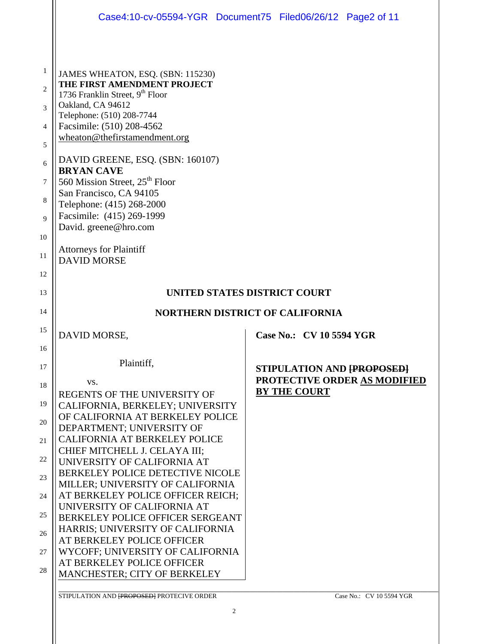|                                     | Case4:10-cv-05594-YGR Document75 Filed06/26/12 Page2 of 11                                                                                                                                                        |  |                          |                              |  |
|-------------------------------------|-------------------------------------------------------------------------------------------------------------------------------------------------------------------------------------------------------------------|--|--------------------------|------------------------------|--|
| 1<br>$\mathfrak{D}$                 | JAMES WHEATON, ESQ. (SBN: 115230)<br>THE FIRST AMENDMENT PROJECT<br>1736 Franklin Street, 9th Floor                                                                                                               |  |                          |                              |  |
| 3<br>$\overline{4}$<br>5            | Oakland, CA 94612<br>Telephone: (510) 208-7744<br>Facsimile: (510) 208-4562<br>wheaton@thefirstamendment.org                                                                                                      |  |                          |                              |  |
| 6<br>7<br>8<br>$\overline{Q}$<br>10 | DAVID GREENE, ESQ. (SBN: 160107)<br><b>BRYAN CAVE</b><br>560 Mission Street, 25 <sup>th</sup> Floor<br>San Francisco, CA 94105<br>Telephone: (415) 268-2000<br>Facsimile: (415) 269-1999<br>David. greene@hro.com |  |                          |                              |  |
| 11<br>12                            | <b>Attorneys for Plaintiff</b><br><b>DAVID MORSE</b>                                                                                                                                                              |  |                          |                              |  |
|                                     | UNITED STATES DISTRICT COURT                                                                                                                                                                                      |  |                          |                              |  |
| 13                                  |                                                                                                                                                                                                                   |  |                          |                              |  |
| 14                                  | <b>NORTHERN DISTRICT OF CALIFORNIA</b>                                                                                                                                                                            |  |                          |                              |  |
| 15                                  | DAVID MORSE,                                                                                                                                                                                                      |  | Case No.: CV 10 5594 YGR |                              |  |
| 16<br>17                            | Plaintiff.                                                                                                                                                                                                        |  |                          | STIPULATION AND [PROPOSED]   |  |
| 18<br>19                            | VS.<br>REGENTS OF THE UNIVERSITY OF                                                                                                                                                                               |  | <b>BY THE COURT</b>      | PROTECTIVE ORDER AS MODIFIED |  |
| 20                                  | CALIFORNIA, BERKELEY; UNIVERSITY<br>OF CALIFORNIA AT BERKELEY POLICE<br>DEPARTMENT; UNIVERSITY OF                                                                                                                 |  |                          |                              |  |
| 21                                  | <b>CALIFORNIA AT BERKELEY POLICE</b><br>CHIEF MITCHELL J. CELAYA III;                                                                                                                                             |  |                          |                              |  |
| 22<br>23                            | UNIVERSITY OF CALIFORNIA AT<br>BERKELEY POLICE DETECTIVE NICOLE                                                                                                                                                   |  |                          |                              |  |
| 24                                  | MILLER; UNIVERSITY OF CALIFORNIA<br>AT BERKELEY POLICE OFFICER REICH;                                                                                                                                             |  |                          |                              |  |
| 25                                  | UNIVERSITY OF CALIFORNIA AT<br>BERKELEY POLICE OFFICER SERGEANT                                                                                                                                                   |  |                          |                              |  |
| 26                                  | HARRIS; UNIVERSITY OF CALIFORNIA<br>AT BERKELEY POLICE OFFICER                                                                                                                                                    |  |                          |                              |  |
| 27<br>28                            | WYCOFF; UNIVERSITY OF CALIFORNIA<br>AT BERKELEY POLICE OFFICER<br>MANCHESTER; CITY OF BERKELEY                                                                                                                    |  |                          |                              |  |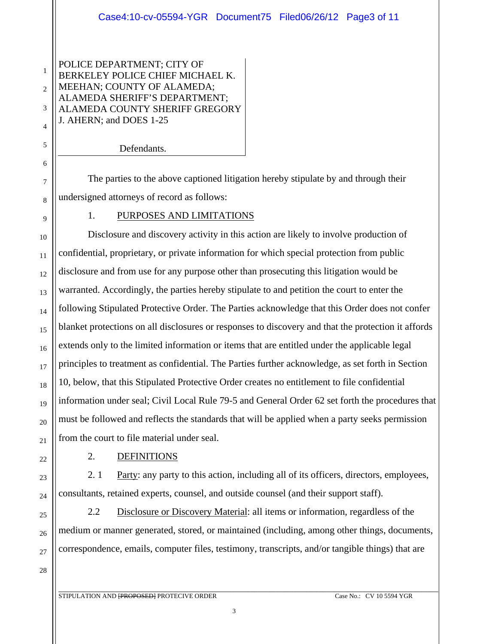POLICE DEPARTMENT; CITY OF BERKELEY POLICE CHIEF MICHAEL K. MEEHAN; COUNTY OF ALAMEDA; ALAMEDA SHERIFF'S DEPARTMENT; ALAMEDA COUNTY SHERIFF GREGORY J. AHERN; and DOES 1-25

Defendants.

 The parties to the above captioned litigation hereby stipulate by and through their undersigned attorneys of record as follows:

1. PURPOSES AND LIMITATIONS

Disclosure and discovery activity in this action are likely to involve production of confidential, proprietary, or private information for which special protection from public disclosure and from use for any purpose other than prosecuting this litigation would be warranted. Accordingly, the parties hereby stipulate to and petition the court to enter the following Stipulated Protective Order. The Parties acknowledge that this Order does not confer blanket protections on all disclosures or responses to discovery and that the protection it affords extends only to the limited information or items that are entitled under the applicable legal principles to treatment as confidential. The Parties further acknowledge, as set forth in Section 10, below, that this Stipulated Protective Order creates no entitlement to file confidential information under seal; Civil Local Rule 79-5 and General Order 62 set forth the procedures that must be followed and reflects the standards that will be applied when a party seeks permission from the court to file material under seal.

2. DEFINITIONS

 2. 1 Party: any party to this action, including all of its officers, directors, employees, consultants, retained experts, counsel, and outside counsel (and their support staff).

 2.2 Disclosure or Discovery Material: all items or information, regardless of the medium or manner generated, stored, or maintained (including, among other things, documents, correspondence, emails, computer files, testimony, transcripts, and/or tangible things) that are

28

1

2

3

4

5

6

7

8

9

10

11

12

13

14

15

16

17

18

19

20

21

22

23

24

25

26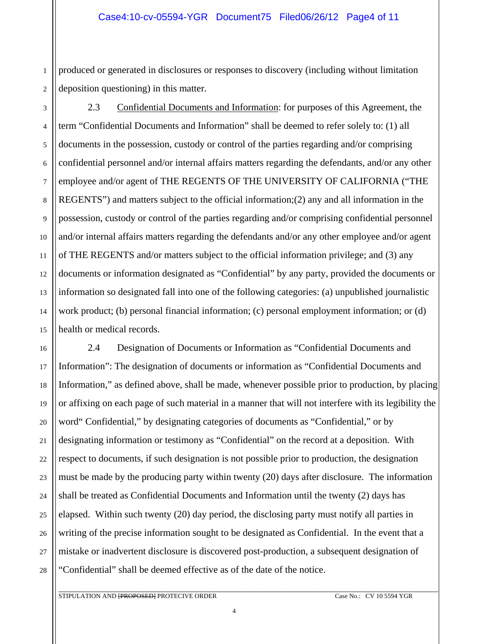1 2 produced or generated in disclosures or responses to discovery (including without limitation deposition questioning) in this matter.

3 4 5 6 7 8 9 10 11 12 13 14 15 2.3 Confidential Documents and Information: for purposes of this Agreement, the term "Confidential Documents and Information" shall be deemed to refer solely to: (1) all documents in the possession, custody or control of the parties regarding and/or comprising confidential personnel and/or internal affairs matters regarding the defendants, and/or any other employee and/or agent of THE REGENTS OF THE UNIVERSITY OF CALIFORNIA ("THE REGENTS") and matters subject to the official information;  $(2)$  any and all information in the possession, custody or control of the parties regarding and/or comprising confidential personnel and/or internal affairs matters regarding the defendants and/or any other employee and/or agent of THE REGENTS and/or matters subject to the official information privilege; and (3) any documents or information designated as "Confidential" by any party, provided the documents or information so designated fall into one of the following categories: (a) unpublished journalistic work product; (b) personal financial information; (c) personal employment information; or (d) health or medical records.

16 18 19 20 22 23 24 25 26 2.4 Designation of Documents or Information as "Confidential Documents and Information": The designation of documents or information as "Confidential Documents and Information," as defined above, shall be made, whenever possible prior to production, by placing or affixing on each page of such material in a manner that will not interfere with its legibility the word" Confidential," by designating categories of documents as "Confidential," or by designating information or testimony as "Confidential" on the record at a deposition. With respect to documents, if such designation is not possible prior to production, the designation must be made by the producing party within twenty (20) days after disclosure. The information shall be treated as Confidential Documents and Information until the twenty (2) days has elapsed. Within such twenty (20) day period, the disclosing party must notify all parties in writing of the precise information sought to be designated as Confidential. In the event that a mistake or inadvertent disclosure is discovered post-production, a subsequent designation of "Confidential" shall be deemed effective as of the date of the notice.

17

21

27

28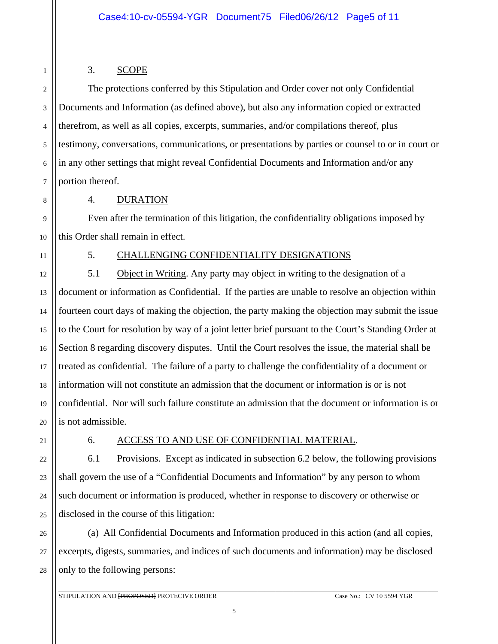# 3. SCOPE

The protections conferred by this Stipulation and Order cover not only Confidential Documents and Information (as defined above), but also any information copied or extracted therefrom, as well as all copies, excerpts, summaries, and/or compilations thereof, plus testimony, conversations, communications, or presentations by parties or counsel to or in court or in any other settings that might reveal Confidential Documents and Information and/or any portion thereof.

1

2

3

4

5

6

### 4. DURATION

Even after the termination of this litigation, the confidentiality obligations imposed by this Order shall remain in effect.

#### 5. CHALLENGING CONFIDENTIALITY DESIGNATIONS

 5.1 Object in Writing. Any party may object in writing to the designation of a document or information as Confidential. If the parties are unable to resolve an objection within fourteen court days of making the objection, the party making the objection may submit the issue to the Court for resolution by way of a joint letter brief pursuant to the Court's Standing Order at Section 8 regarding discovery disputes. Until the Court resolves the issue, the material shall be treated as confidential. The failure of a party to challenge the confidentiality of a document or information will not constitute an admission that the document or information is or is not confidential. Nor will such failure constitute an admission that the document or information is or is not admissible.

# 6. ACCESS TO AND USE OF CONFIDENTIAL MATERIAL.

6.1 Provisions. Except as indicated in subsection 6.2 below, the following provisions shall govern the use of a "Confidential Documents and Information" by any person to whom such document or information is produced, whether in response to discovery or otherwise or disclosed in the course of this litigation:

26 27 28 (a) All Confidential Documents and Information produced in this action (and all copies, excerpts, digests, summaries, and indices of such documents and information) may be disclosed only to the following persons: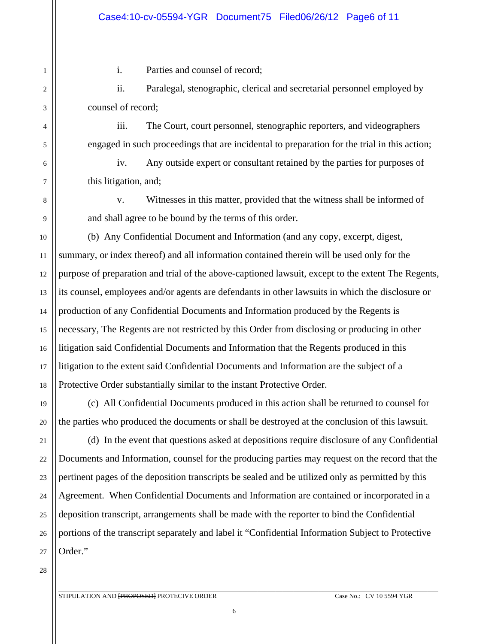i. Parties and counsel of record;

ii. Paralegal, stenographic, clerical and secretarial personnel employed by counsel of record;

iii. The Court, court personnel, stenographic reporters, and videographers engaged in such proceedings that are incidental to preparation for the trial in this action;

iv. Any outside expert or consultant retained by the parties for purposes of this litigation, and;

v. Witnesses in this matter, provided that the witness shall be informed of and shall agree to be bound by the terms of this order.

(b) Any Confidential Document and Information (and any copy, excerpt, digest, summary, or index thereof) and all information contained therein will be used only for the purpose of preparation and trial of the above-captioned lawsuit, except to the extent The Regents, its counsel, employees and/or agents are defendants in other lawsuits in which the disclosure or production of any Confidential Documents and Information produced by the Regents is necessary, The Regents are not restricted by this Order from disclosing or producing in other litigation said Confidential Documents and Information that the Regents produced in this litigation to the extent said Confidential Documents and Information are the subject of a Protective Order substantially similar to the instant Protective Order.

 (c) All Confidential Documents produced in this action shall be returned to counsel for the parties who produced the documents or shall be destroyed at the conclusion of this lawsuit.

 (d) In the event that questions asked at depositions require disclosure of any Confidential Documents and Information, counsel for the producing parties may request on the record that the pertinent pages of the deposition transcripts be sealed and be utilized only as permitted by this Agreement. When Confidential Documents and Information are contained or incorporated in a deposition transcript, arrangements shall be made with the reporter to bind the Confidential portions of the transcript separately and label it "Confidential Information Subject to Protective Order."

28

1

2

3

4

5

6

7

8

9

10

11

12

13

14

15

16

17

18

19

20

21

22

23

24

25

26

27

\_\_\_\_\_\_\_\_\_\_\_\_\_\_\_\_\_\_\_\_\_\_\_\_\_\_\_\_\_\_\_\_\_\_\_\_\_\_\_\_\_\_\_\_\_\_\_\_\_\_\_\_\_\_\_\_\_\_\_\_\_\_\_\_\_\_\_\_\_\_\_\_\_\_\_\_\_\_\_\_\_\_\_\_\_\_\_\_\_\_\_\_\_\_\_\_\_\_\_\_\_\_\_\_\_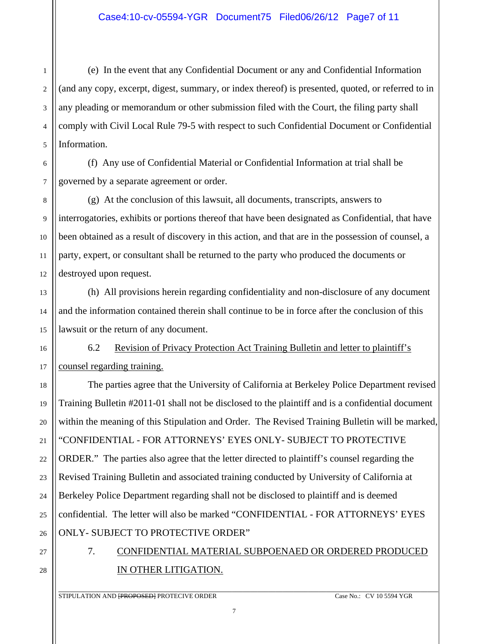(e) In the event that any Confidential Document or any and Confidential Information (and any copy, excerpt, digest, summary, or index thereof) is presented, quoted, or referred to in any pleading or memorandum or other submission filed with the Court, the filing party shall comply with Civil Local Rule 79-5 with respect to such Confidential Document or Confidential Information.

6 7 (f) Any use of Confidential Material or Confidential Information at trial shall be governed by a separate agreement or order.

 (g) At the conclusion of this lawsuit, all documents, transcripts, answers to interrogatories, exhibits or portions thereof that have been designated as Confidential, that have been obtained as a result of discovery in this action, and that are in the possession of counsel, a party, expert, or consultant shall be returned to the party who produced the documents or destroyed upon request.

 (h) All provisions herein regarding confidentiality and non-disclosure of any document and the information contained therein shall continue to be in force after the conclusion of this lawsuit or the return of any document.

 6.2 Revision of Privacy Protection Act Training Bulletin and letter to plaintiff's counsel regarding training.

The parties agree that the University of California at Berkeley Police Department revised Training Bulletin #2011-01 shall not be disclosed to the plaintiff and is a confidential document within the meaning of this Stipulation and Order. The Revised Training Bulletin will be marked, "CONFIDENTIAL - FOR ATTORNEYS' EYES ONLY- SUBJECT TO PROTECTIVE ORDER." The parties also agree that the letter directed to plaintiff's counsel regarding the Revised Training Bulletin and associated training conducted by University of California at Berkeley Police Department regarding shall not be disclosed to plaintiff and is deemed confidential. The letter will also be marked "CONFIDENTIAL - FOR ATTORNEYS' EYES ONLY- SUBJECT TO PROTECTIVE ORDER"

# 7. CONFIDENTIAL MATERIAL SUBPOENAED OR ORDERED PRODUCED IN OTHER LITIGATION.

1

2

3

4

5

8

9

10

11

12

13

14

15

16

17

18

19

20

21

22

23

24

25

26

27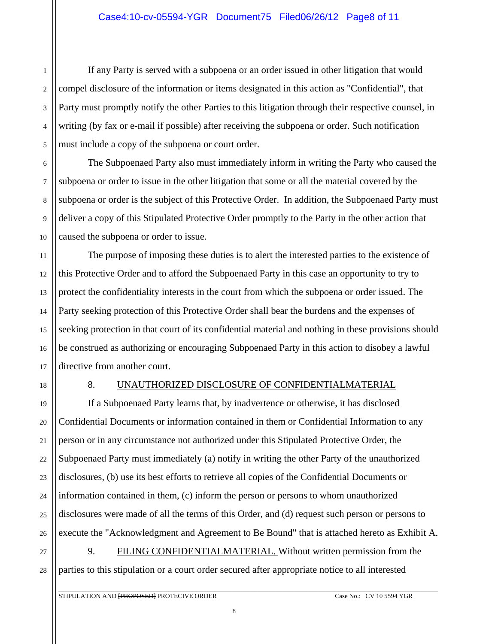### Case4:10-cv-05594-YGR Document75 Filed06/26/12 Page8 of 11

 If any Party is served with a subpoena or an order issued in other litigation that would compel disclosure of the information or items designated in this action as "Confidential", that Party must promptly notify the other Parties to this litigation through their respective counsel, in writing (by fax or e-mail if possible) after receiving the subpoena or order. Such notification must include a copy of the subpoena or court order.

 The Subpoenaed Party also must immediately inform in writing the Party who caused the subpoena or order to issue in the other litigation that some or all the material covered by the subpoena or order is the subject of this Protective Order. In addition, the Subpoenaed Party must deliver a copy of this Stipulated Protective Order promptly to the Party in the other action that caused the subpoena or order to issue.

 The purpose of imposing these duties is to alert the interested parties to the existence of this Protective Order and to afford the Subpoenaed Party in this case an opportunity to try to protect the confidentiality interests in the court from which the subpoena or order issued. The Party seeking protection of this Protective Order shall bear the burdens and the expenses of seeking protection in that court of its confidential material and nothing in these provisions should be construed as authorizing or encouraging Subpoenaed Party in this action to disobey a lawful directive from another court.

1

2

3

4

5

6

7

8

9

10

11

12

13

14

15

16

17

18

19

20

21

22

23

24

25

26

27

28

#### 8. UNAUTHORIZED DISCLOSURE OF CONFIDENTIALMATERIAL

 If a Subpoenaed Party learns that, by inadvertence or otherwise, it has disclosed Confidential Documents or information contained in them or Confidential Information to any person or in any circumstance not authorized under this Stipulated Protective Order, the Subpoenaed Party must immediately (a) notify in writing the other Party of the unauthorized disclosures, (b) use its best efforts to retrieve all copies of the Confidential Documents or information contained in them, (c) inform the person or persons to whom unauthorized disclosures were made of all the terms of this Order, and (d) request such person or persons to execute the "Acknowledgment and Agreement to Be Bound" that is attached hereto as Exhibit A. 9. FILING CONFIDENTIALMATERIAL. Without written permission from the parties to this stipulation or a court order secured after appropriate notice to all interested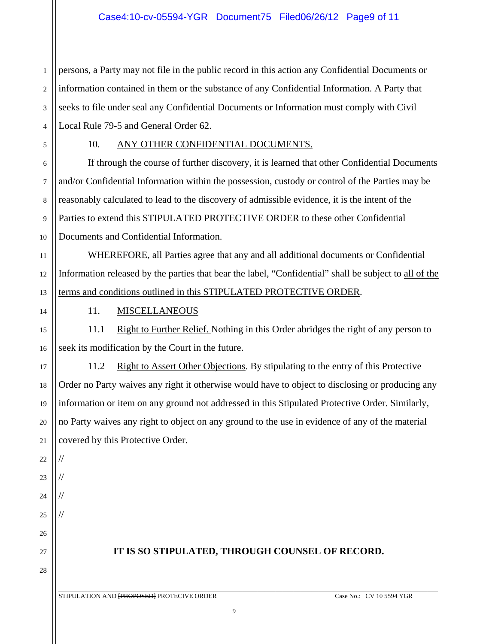1 2 3 4 persons, a Party may not file in the public record in this action any Confidential Documents or information contained in them or the substance of any Confidential Information. A Party that seeks to file under seal any Confidential Documents or Information must comply with Civil Local Rule 79-5 and General Order 62.

5 6

7

8

9

10

11

12

13

14

15

16

17

18

19

20

21

# 10. ANY OTHER CONFIDENTIAL DOCUMENTS.

 If through the course of further discovery, it is learned that other Confidential Documents and/or Confidential Information within the possession, custody or control of the Parties may be reasonably calculated to lead to the discovery of admissible evidence, it is the intent of the Parties to extend this STIPULATED PROTECTIVE ORDER to these other Confidential Documents and Confidential Information.

WHEREFORE, all Parties agree that any and all additional documents or Confidential Information released by the parties that bear the label, "Confidential" shall be subject to all of the terms and conditions outlined in this STIPULATED PROTECTIVE ORDER.

#### 11. MISCELLANEOUS

11.1 Right to Further Relief. Nothing in this Order abridges the right of any person to seek its modification by the Court in the future.

11.2 Right to Assert Other Objections. By stipulating to the entry of this Protective Order no Party waives any right it otherwise would have to object to disclosing or producing any information or item on any ground not addressed in this Stipulated Protective Order. Similarly, no Party waives any right to object on any ground to the use in evidence of any of the material covered by this Protective Order.

22 23

//

//

//

//

24

25

26

27 28

# **IT IS SO STIPULATED, THROUGH COUNSEL OF RECORD.**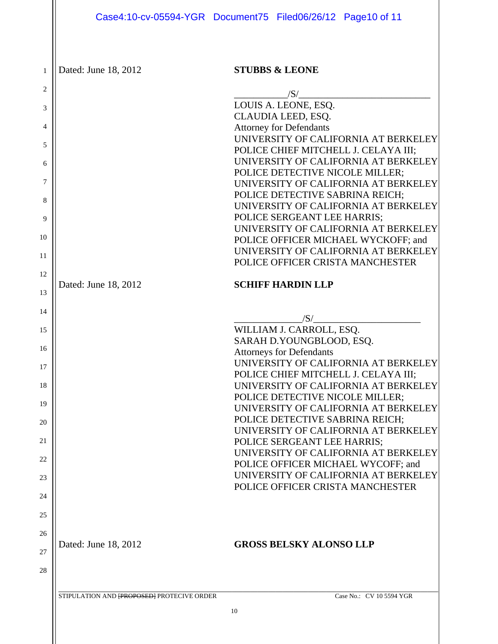1 | Dated: June 18, 2012

# **STUBBS & LEONE**

| $\overline{c}$ |                      | /S/                                                                        |
|----------------|----------------------|----------------------------------------------------------------------------|
| 3              |                      | LOUIS A. LEONE, ESQ.                                                       |
|                |                      | CLAUDIA LEED, ESQ.                                                         |
| 4              |                      | <b>Attorney for Defendants</b><br>UNIVERSITY OF CALIFORNIA AT BERKELEY     |
| 5              |                      | POLICE CHIEF MITCHELL J. CELAYA III;                                       |
| 6              |                      | UNIVERSITY OF CALIFORNIA AT BERKELEY                                       |
|                |                      | POLICE DETECTIVE NICOLE MILLER;                                            |
| 7              |                      | UNIVERSITY OF CALIFORNIA AT BERKELEY                                       |
| 8              |                      | POLICE DETECTIVE SABRINA REICH;                                            |
| 9              |                      | UNIVERSITY OF CALIFORNIA AT BERKELEY<br>POLICE SERGEANT LEE HARRIS;        |
|                |                      | UNIVERSITY OF CALIFORNIA AT BERKELEY                                       |
| 10             |                      | POLICE OFFICER MICHAEL WYCKOFF; and                                        |
| 11             |                      | UNIVERSITY OF CALIFORNIA AT BERKELEY                                       |
|                |                      | POLICE OFFICER CRISTA MANCHESTER                                           |
| 12             | Dated: June 18, 2012 | <b>SCHIFF HARDIN LLP</b>                                                   |
| 13             |                      |                                                                            |
| 14             |                      |                                                                            |
|                |                      | /S/                                                                        |
| 15             |                      | WILLIAM J. CARROLL, ESQ.<br>SARAH D.YOUNGBLOOD, ESQ.                       |
| 16             |                      | <b>Attorneys for Defendants</b>                                            |
| 17             |                      | UNIVERSITY OF CALIFORNIA AT BERKELEY                                       |
|                |                      | POLICE CHIEF MITCHELL J. CELAYA III;                                       |
| 18             |                      | UNIVERSITY OF CALIFORNIA AT BERKELEY                                       |
| 19             |                      | POLICE DETECTIVE NICOLE MILLER;<br>UNIVERSITY OF CALIFORNIA AT BERKELEY    |
|                |                      | POLICE DETECTIVE SABRINA REICH;                                            |
| 20             |                      | UNIVERSITY OF CALIFORNIA AT BERKELEY                                       |
| 21             |                      | POLICE SERGEANT LEE HARRIS;                                                |
| 22             |                      | UNIVERSITY OF CALIFORNIA AT BERKELEY                                       |
|                |                      | POLICE OFFICER MICHAEL WYCOFF; and<br>UNIVERSITY OF CALIFORNIA AT BERKELEY |
| 23             |                      | POLICE OFFICER CRISTA MANCHESTER                                           |
| 24             |                      |                                                                            |
| 25             |                      |                                                                            |
|                |                      |                                                                            |
| 26             | Dated: June 18, 2012 | <b>GROSS BELSKY ALONSO LLP</b>                                             |
| 27             |                      |                                                                            |
| 28             |                      |                                                                            |
|                |                      |                                                                            |